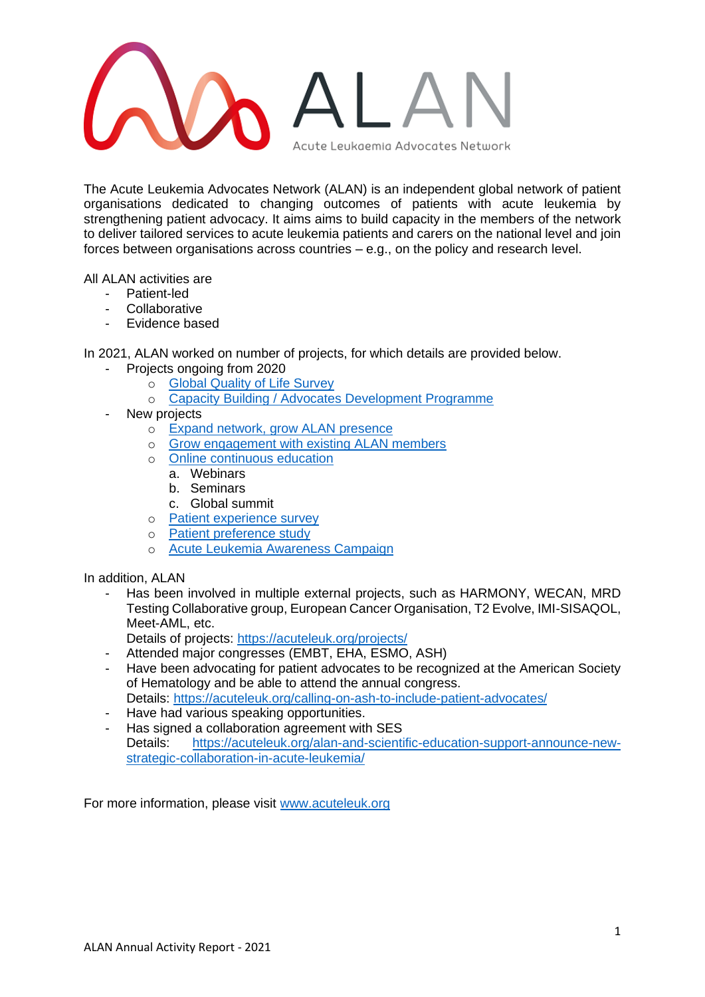

The Acute Leukemia Advocates Network (ALAN) is an independent global network of patient organisations dedicated to changing outcomes of patients with acute leukemia by strengthening patient advocacy. It aims aims to build capacity in the members of the network to deliver tailored services to acute leukemia patients and carers on the national level and join forces between organisations across countries – e.g., on the policy and research level.

All ALAN activities are

- Patient-led
- Collaborative
- Evidence based

In 2021, ALAN worked on number of projects, for which details are provided below.

- Projects ongoing from 2020
	- o [Global Quality of Life Survey](#page-1-0)
	- o Capacity Building / Advocates Development Programme
- New projects
	- o [Expand network, grow ALAN presence](#page-3-0)
	- o [Grow engagement with existing ALAN members](#page-5-0)
	- o [Online continuous education](#page-6-0)
		- a. Webinars
		- b. Seminars
		- c. Global summit
	- o [Patient experience survey](#page-8-0)
	- o [Patient preference study](#page-11-0)
	- o [Acute Leukemia Awareness Campaign](#page-13-0)

In addition, ALAN

Has been involved in multiple external projects, such as HARMONY, WECAN, MRD Testing Collaborative group, European Cancer Organisation, T2 Evolve, IMI-SISAQOL, Meet-AML, etc.

Details of projects:<https://acuteleuk.org/projects/>

- Attended major congresses (EMBT, EHA, ESMO, ASH)
- Have been advocating for patient advocates to be recognized at the American Society of Hematology and be able to attend the annual congress. Details:<https://acuteleuk.org/calling-on-ash-to-include-patient-advocates/>
- Have had various speaking opportunities.
- Has signed a collaboration agreement with SES Details: [https://acuteleuk.org/alan-and-scientific-education-support-announce-new](https://acuteleuk.org/alan-and-scientific-education-support-announce-new-strategic-collaboration-in-acute-leukemia/)[strategic-collaboration-in-acute-leukemia/](https://acuteleuk.org/alan-and-scientific-education-support-announce-new-strategic-collaboration-in-acute-leukemia/)

For more information, please visit [www.acuteleuk.org](http://www.acuteleuk.org/)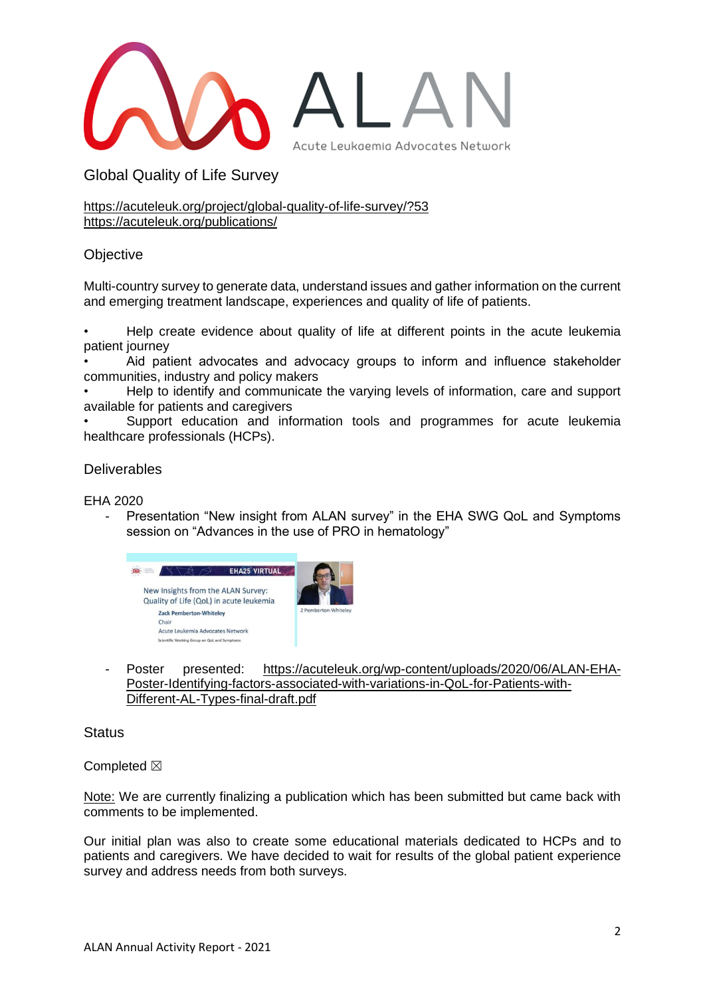

<span id="page-1-0"></span>Global Quality of Life Survey

<https://acuteleuk.org/project/global-quality-of-life-survey/?53> <https://acuteleuk.org/publications/>

# **Objective**

Multi-country survey to generate data, understand issues and gather information on the current and emerging treatment landscape, experiences and quality of life of patients.

• Help create evidence about quality of life at different points in the acute leukemia patient journey

Aid patient advocates and advocacy groups to inform and influence stakeholder communities, industry and policy makers

• Help to identify and communicate the varying levels of information, care and support available for patients and caregivers

Support education and information tools and programmes for acute leukemia healthcare professionals (HCPs).

## **Deliverables**

EHA 2020

Presentation "New insight from ALAN survey" in the EHA SWG QoL and Symptoms session on "Advances in the use of PRO in hematology"



- Poster presented: [https://acuteleuk.org/wp-content/uploads/2020/06/ALAN-EHA-](https://acuteleuk.org/wp-content/uploads/2020/06/ALAN-EHA-Poster-Identifying-factors-associated-with-variations-in-QoL-for-Patients-with-Different-AL-Types-final-draft.pdf)[Poster-Identifying-factors-associated-with-variations-in-QoL-for-Patients-with-](https://acuteleuk.org/wp-content/uploads/2020/06/ALAN-EHA-Poster-Identifying-factors-associated-with-variations-in-QoL-for-Patients-with-Different-AL-Types-final-draft.pdf)[Different-AL-Types-final-draft.pdf](https://acuteleuk.org/wp-content/uploads/2020/06/ALAN-EHA-Poster-Identifying-factors-associated-with-variations-in-QoL-for-Patients-with-Different-AL-Types-final-draft.pdf)

**Status** 

Completed  $\boxtimes$ 

Note: We are currently finalizing a publication which has been submitted but came back with comments to be implemented.

Our initial plan was also to create some educational materials dedicated to HCPs and to patients and caregivers. We have decided to wait for results of the global patient experience survey and address needs from both surveys.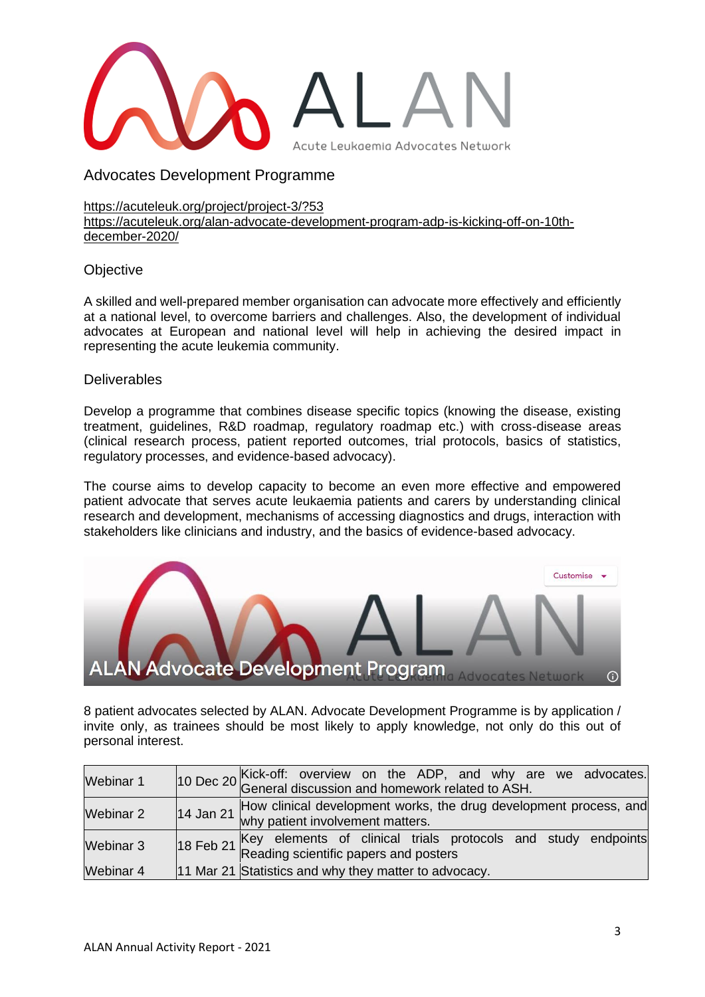

Advocates Development Programme

<https://acuteleuk.org/project/project-3/?53> [https://acuteleuk.org/alan-advocate-development-program-adp-is-kicking-off-on-10th](https://acuteleuk.org/alan-advocate-development-program-adp-is-kicking-off-on-10th-december-2020/)[december-2020/](https://acuteleuk.org/alan-advocate-development-program-adp-is-kicking-off-on-10th-december-2020/)

## **Objective**

A skilled and well-prepared member organisation can advocate more effectively and efficiently at a national level, to overcome barriers and challenges. Also, the development of individual advocates at European and national level will help in achieving the desired impact in representing the acute leukemia community.

## **Deliverables**

Develop a programme that combines disease specific topics (knowing the disease, existing treatment, guidelines, R&D roadmap, regulatory roadmap etc.) with cross-disease areas (clinical research process, patient reported outcomes, trial protocols, basics of statistics, regulatory processes, and evidence-based advocacy).

The course aims to develop capacity to become an even more effective and empowered patient advocate that serves acute leukaemia patients and carers by understanding clinical research and development, mechanisms of accessing diagnostics and drugs, interaction with stakeholders like clinicians and industry, and the basics of evidence-based advocacy.



8 patient advocates selected by ALAN. Advocate Development Programme is by application / invite only, as trainees should be most likely to apply knowledge, not only do this out of personal interest.

| <b>Webinar 1</b> | 10 Dec 20 Kick-off: overview on the ADP, and why are we advocates.<br>$\begin{bmatrix} 10$ Dec 20 General discussion and homework related to ASH. |
|------------------|---------------------------------------------------------------------------------------------------------------------------------------------------|
| Webinar 2        | How clinical development works, the drug development process, and<br>14 Jan 21 why patient involvement matters.                                   |
| Webinar 3        | 18 Feb 21 Key elements of clinical trials protocols and study endpoints Reading scientific papers and posters                                     |
| <b>Webinar 4</b> | 11 Mar 21 Statistics and why they matter to advocacy.                                                                                             |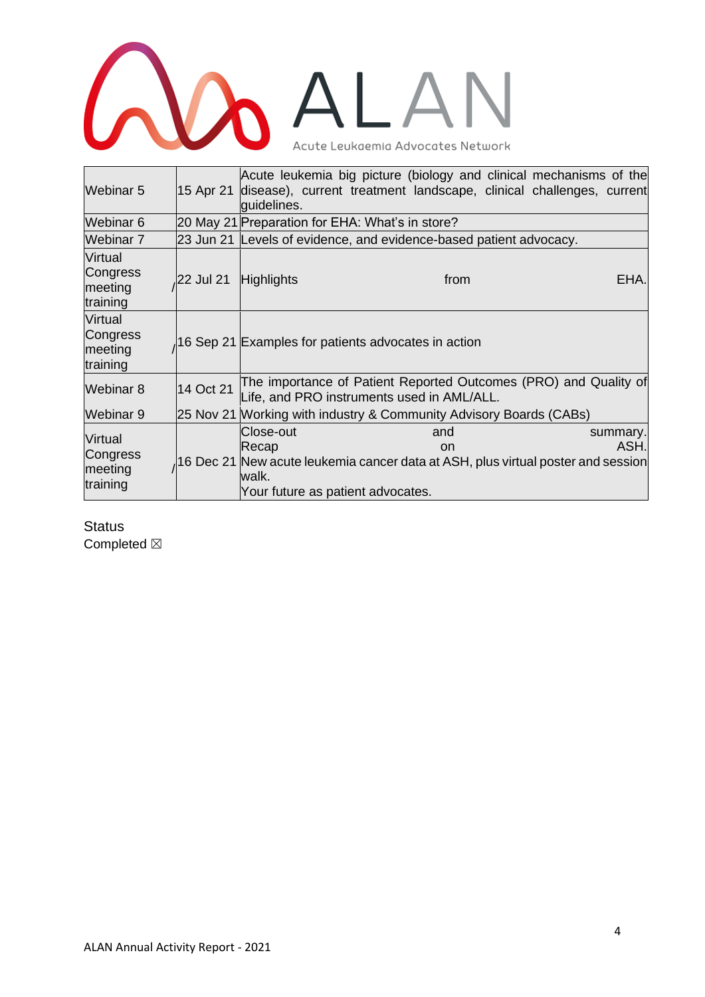# **COLALAN**

| Webinar 5                                  | 15 Apr 21 | Acute leukemia big picture (biology and clinical mechanisms of the<br>disease), current treatment landscape, clinical challenges, current<br>quidelines.                     |                  |
|--------------------------------------------|-----------|------------------------------------------------------------------------------------------------------------------------------------------------------------------------------|------------------|
| Webinar 6                                  |           | 20 May 21 Preparation for EHA: What's in store?                                                                                                                              |                  |
| Webinar 7                                  |           | 23 Jun 21 Levels of evidence, and evidence-based patient advocacy.                                                                                                           |                  |
| Virtual<br>Congress<br>meeting<br>training | 22 Jul 21 | <b>Highlights</b><br>from                                                                                                                                                    | EHA.             |
| Virtual<br>Congress<br>meeting<br>training |           | 16 Sep 21 Examples for patients advocates in action                                                                                                                          |                  |
| Webinar 8                                  | 14 Oct 21 | The importance of Patient Reported Outcomes (PRO) and Quality of<br>Life, and PRO instruments used in AML/ALL.                                                               |                  |
| Webinar 9                                  |           | 25 Nov 21 Working with industry & Community Advisory Boards (CABs)                                                                                                           |                  |
| Virtual<br>Congress<br>meeting<br>training |           | Close-out<br>and<br>Recap<br><sub>on</sub><br>16 Dec 21 New acute leukemia cancer data at ASH, plus virtual poster and session<br>walk.<br>Your future as patient advocates. | summary.<br>ASH. |

<span id="page-3-0"></span>**Status** Completed  $\boxtimes$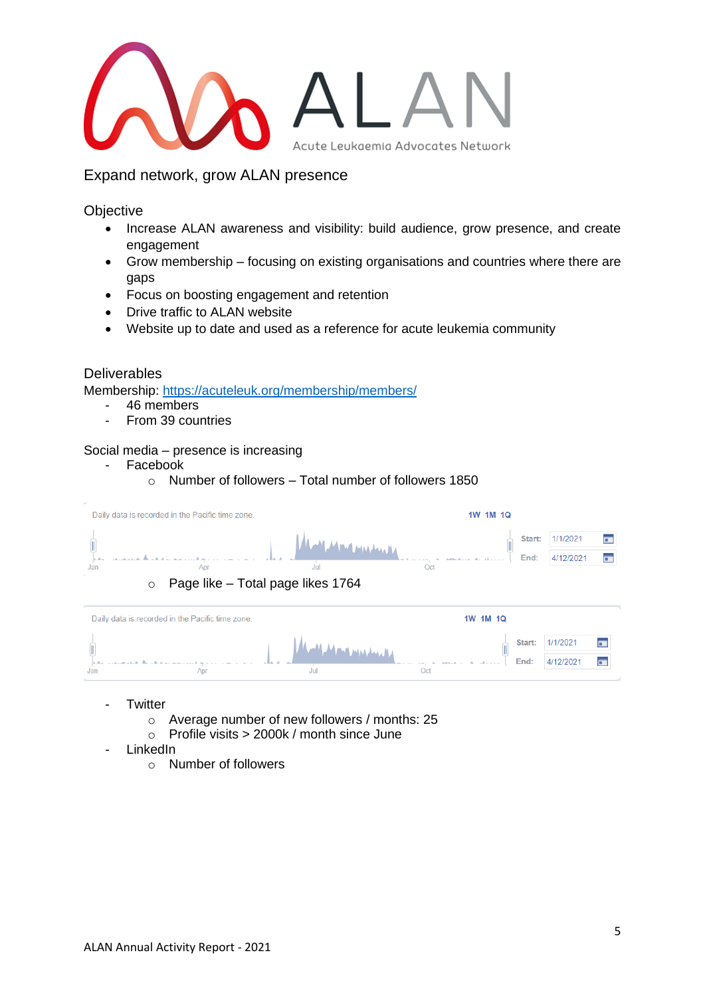

Expand network, grow ALAN presence

**Objective** 

- Increase ALAN awareness and visibility: build audience, grow presence, and create engagement
- Grow membership focusing on existing organisations and countries where there are gaps
- Focus on boosting engagement and retention
- Drive traffic to ALAN website
- Website up to date and used as a reference for acute leukemia community

## **Deliverables**

Membership:<https://acuteleuk.org/membership/members/>

- 46 members
- From 39 countries

## Social media – presence is increasing

- Facebook
	- $\circ$  Number of followers Total number of followers 1850

|                | Daily data is recorded in the Pacific time zone. |                                                                        |     | 1W 1M 1Q |                |                       |                      |
|----------------|--------------------------------------------------|------------------------------------------------------------------------|-----|----------|----------------|-----------------------|----------------------|
| Jan<br>$\circ$ |                                                  | فالمتمار ووسر التهاش الأهم<br>Jul<br>Page like - Total page likes 1764 | Oct |          | Start:<br>End: | 1/1/2021<br>4/12/2021 | п.<br>$\overline{a}$ |
|                |                                                  |                                                                        |     |          |                |                       |                      |
|                | Daily data is recorded in the Pacific time zone. |                                                                        |     | 1W 1M 1Q |                |                       |                      |

- Twitter
	- o Average number of new followers / months: 25

- $\circ$  Profile visits > 2000k / month since June
- LinkedIn
	- o Number of followers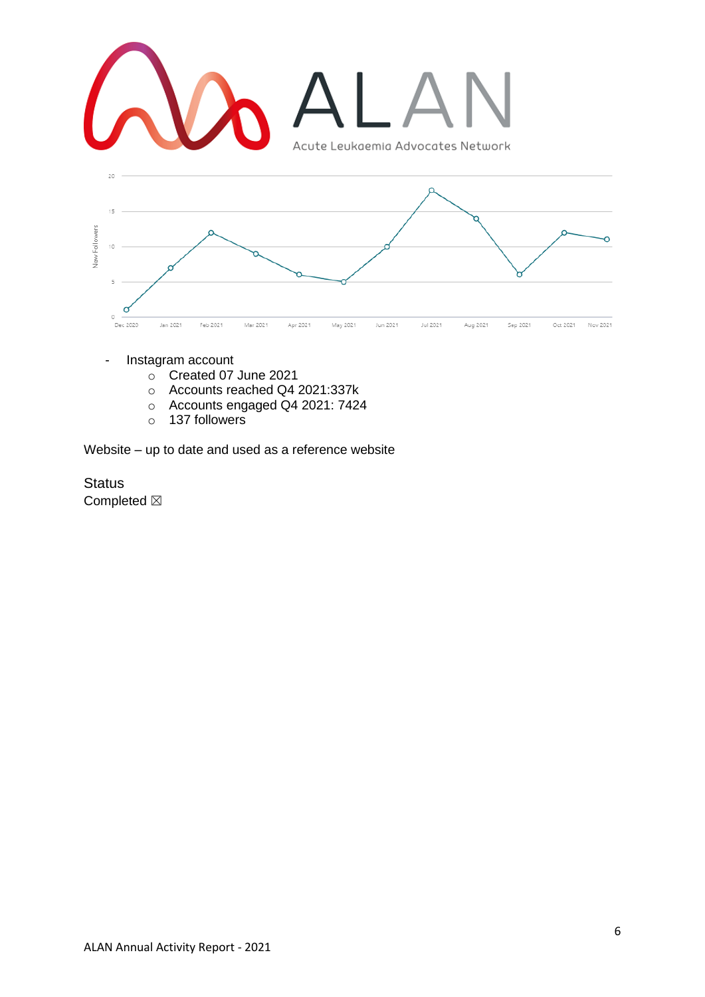

- Instagram account
	- o Created 07 June 2021
	- o Accounts reached Q4 2021:337k
	- o Accounts engaged Q4 2021: 7424
	- o 137 followers

Website – up to date and used as a reference website

<span id="page-5-0"></span>**Status** Completed  $\boxtimes$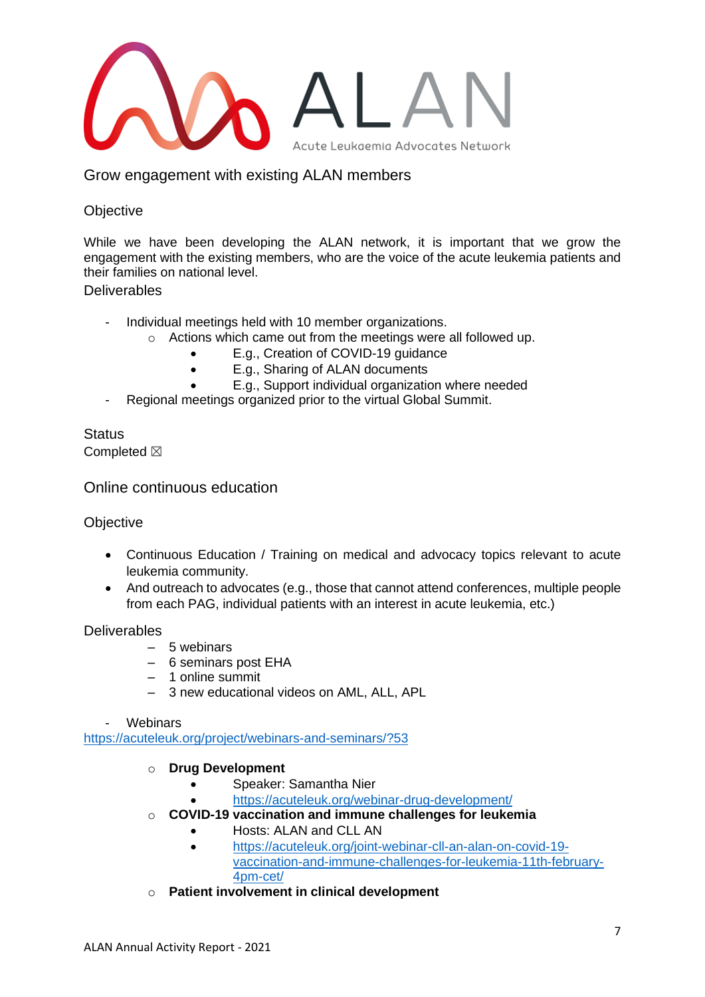

Grow engagement with existing ALAN members

# **Objective**

While we have been developing the ALAN network, it is important that we grow the engagement with the existing members, who are the voice of the acute leukemia patients and their families on national level.

**Deliverables** 

- Individual meetings held with 10 member organizations.
	- o Actions which came out from the meetings were all followed up.
		- E.g., Creation of COVID-19 guidance
		- E.g., Sharing of ALAN documents
		- E.g., Support individual organization where needed
- Regional meetings organized prior to the virtual Global Summit.

**Status** Completed  $\boxtimes$ 

<span id="page-6-0"></span>Online continuous education

**Objective** 

- Continuous Education / Training on medical and advocacy topics relevant to acute leukemia community.
- And outreach to advocates (e.g., those that cannot attend conferences, multiple people from each PAG, individual patients with an interest in acute leukemia, etc.)

Deliverables

- 5 webinars
- 6 seminars post EHA
- 1 online summit
- 3 new educational videos on AML, ALL, APL

#### **Webinars**

<https://acuteleuk.org/project/webinars-and-seminars/?53>

- o **Drug Development** 
	- Speaker: Samantha Nier
		- <https://acuteleuk.org/webinar-drug-development/>
- o **COVID-19 vaccination and immune challenges for leukemia**
	- Hosts: ALAN and CLL AN
	- [https://acuteleuk.org/joint-webinar-cll-an-alan-on-covid-19](https://acuteleuk.org/joint-webinar-cll-an-alan-on-covid-19-vaccination-and-immune-challenges-for-leukemia-11th-february-4pm-cet/) [vaccination-and-immune-challenges-for-leukemia-11th-february-](https://acuteleuk.org/joint-webinar-cll-an-alan-on-covid-19-vaccination-and-immune-challenges-for-leukemia-11th-february-4pm-cet/)[4pm-cet/](https://acuteleuk.org/joint-webinar-cll-an-alan-on-covid-19-vaccination-and-immune-challenges-for-leukemia-11th-february-4pm-cet/)
- o **Patient involvement in clinical development**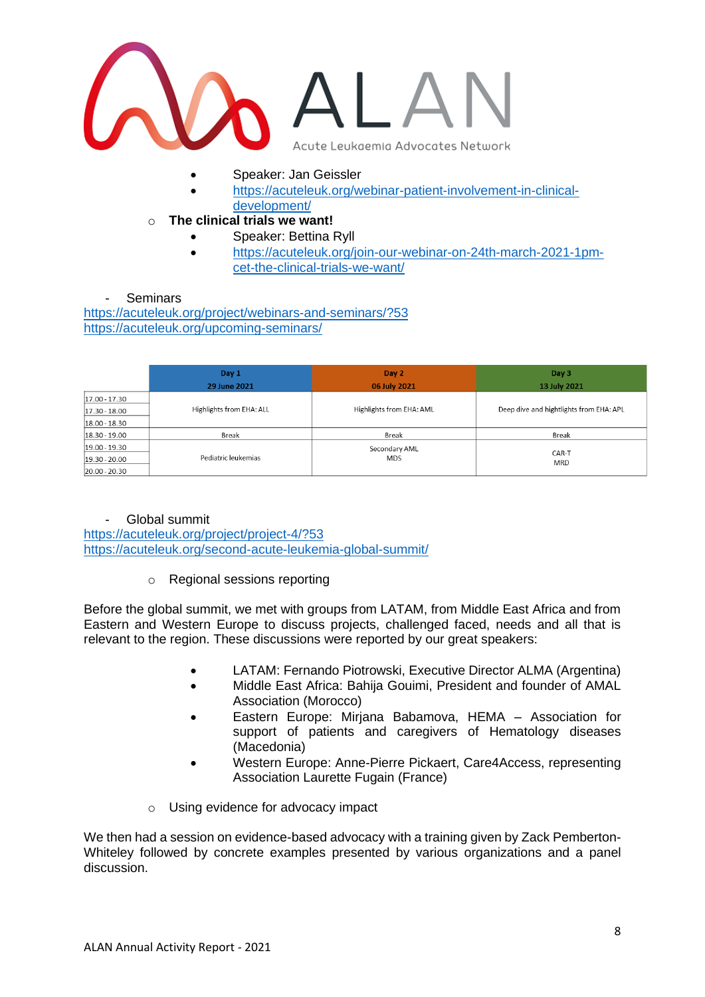

- Speaker: Jan Geissler
- [https://acuteleuk.org/webinar-patient-involvement-in-clinical](https://acuteleuk.org/webinar-patient-involvement-in-clinical-development/)[development/](https://acuteleuk.org/webinar-patient-involvement-in-clinical-development/)
- o **The clinical trials we want!**
	- Speaker: Bettina Ryll
	- [https://acuteleuk.org/join-our-webinar-on-24th-march-2021-1pm](https://acuteleuk.org/join-our-webinar-on-24th-march-2021-1pm-cet-the-clinical-trials-we-want/)[cet-the-clinical-trials-we-want/](https://acuteleuk.org/join-our-webinar-on-24th-march-2021-1pm-cet-the-clinical-trials-we-want/)

**Seminars** 

<https://acuteleuk.org/project/webinars-and-seminars/?53> <https://acuteleuk.org/upcoming-seminars/>

|                 | Day 1                    | Day 2                    | Day 3                                   |
|-----------------|--------------------------|--------------------------|-----------------------------------------|
|                 | 29 June 2021             | 06 July 2021             | 13 July 2021                            |
| 17.00 - 17.30   |                          |                          |                                         |
| 17.30 - 18.00   | Highlights from EHA: ALL | Highlights from EHA: AML | Deep dive and hightlights from EHA: APL |
| $18.00 - 18.30$ |                          |                          |                                         |
| 18.30 - 19.00   | Break                    | Break                    | Break                                   |
| $19.00 - 19.30$ |                          | Secondary AML            |                                         |
| 19.30 - 20.00   | Pediatric leukemias      | <b>MDS</b>               | CAR-T<br><b>MRD</b>                     |
| $20.00 - 20.30$ |                          |                          |                                         |

#### Global summit

<https://acuteleuk.org/project/project-4/?53> <https://acuteleuk.org/second-acute-leukemia-global-summit/>

o Regional sessions reporting

Before the global summit, we met with groups from LATAM, from Middle East Africa and from Eastern and Western Europe to discuss projects, challenged faced, needs and all that is relevant to the region. These discussions were reported by our great speakers:

- LATAM: Fernando Piotrowski, Executive Director ALMA (Argentina)
- Middle East Africa: Bahija Gouimi, President and founder of AMAL Association (Morocco)
- Eastern Europe: Mirjana Babamova, HEMA Association for support of patients and caregivers of Hematology diseases (Macedonia)
- Western Europe: Anne-Pierre Pickaert, Care4Access, representing Association Laurette Fugain (France)
- o Using evidence for advocacy impact

We then had a session on evidence-based advocacy with a training given by Zack Pemberton-Whiteley followed by concrete examples presented by various organizations and a panel discussion.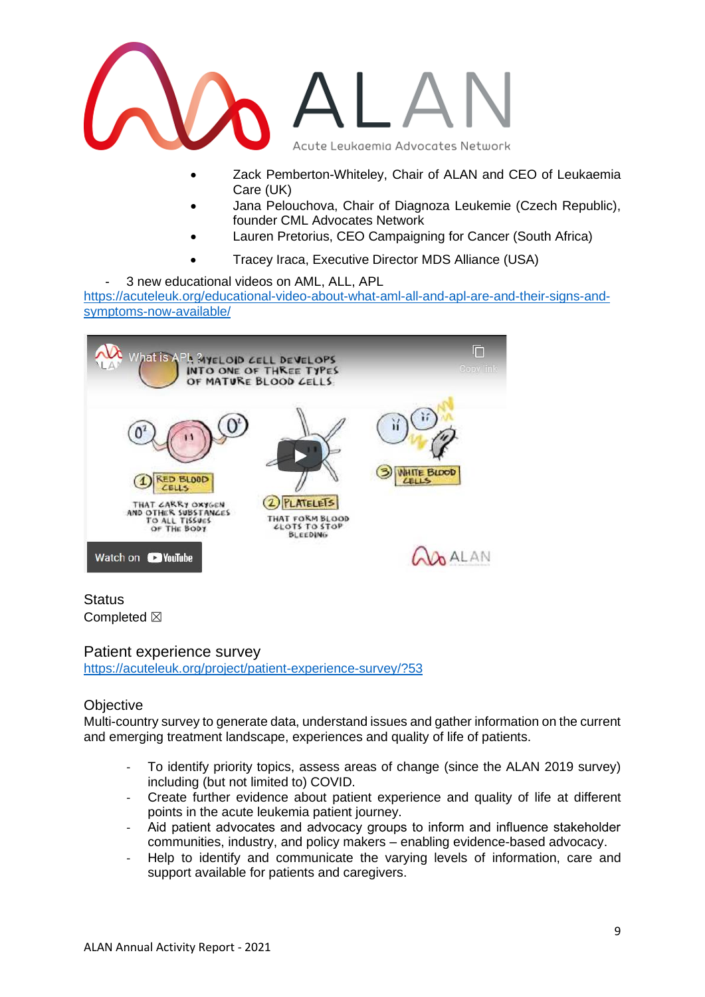

- Zack Pemberton-Whiteley, Chair of ALAN and CEO of Leukaemia Care (UK)
- Jana Pelouchova, Chair of Diagnoza Leukemie (Czech Republic), founder CML Advocates Network
- Lauren Pretorius, CEO Campaigning for Cancer (South Africa)
- Tracey Iraca, Executive Director MDS Alliance (USA)

- 3 new educational videos on AML, ALL, APL [https://acuteleuk.org/educational-video-about-what-aml-all-and-apl-are-and-their-signs-and](https://acuteleuk.org/educational-video-about-what-aml-all-and-apl-are-and-their-signs-and-symptoms-now-available/)[symptoms-now-available/](https://acuteleuk.org/educational-video-about-what-aml-all-and-apl-are-and-their-signs-and-symptoms-now-available/) 



# **Status** Completed  $\boxtimes$

<span id="page-8-0"></span>Patient experience survey <https://acuteleuk.org/project/patient-experience-survey/?53>

# **Objective**

Multi-country survey to generate data, understand issues and gather information on the current and emerging treatment landscape, experiences and quality of life of patients.

- To identify priority topics, assess areas of change (since the ALAN 2019 survey) including (but not limited to) COVID.
- Create further evidence about patient experience and quality of life at different points in the acute leukemia patient journey.
- Aid patient advocates and advocacy groups to inform and influence stakeholder communities, industry, and policy makers – enabling evidence-based advocacy.
- Help to identify and communicate the varying levels of information, care and support available for patients and caregivers.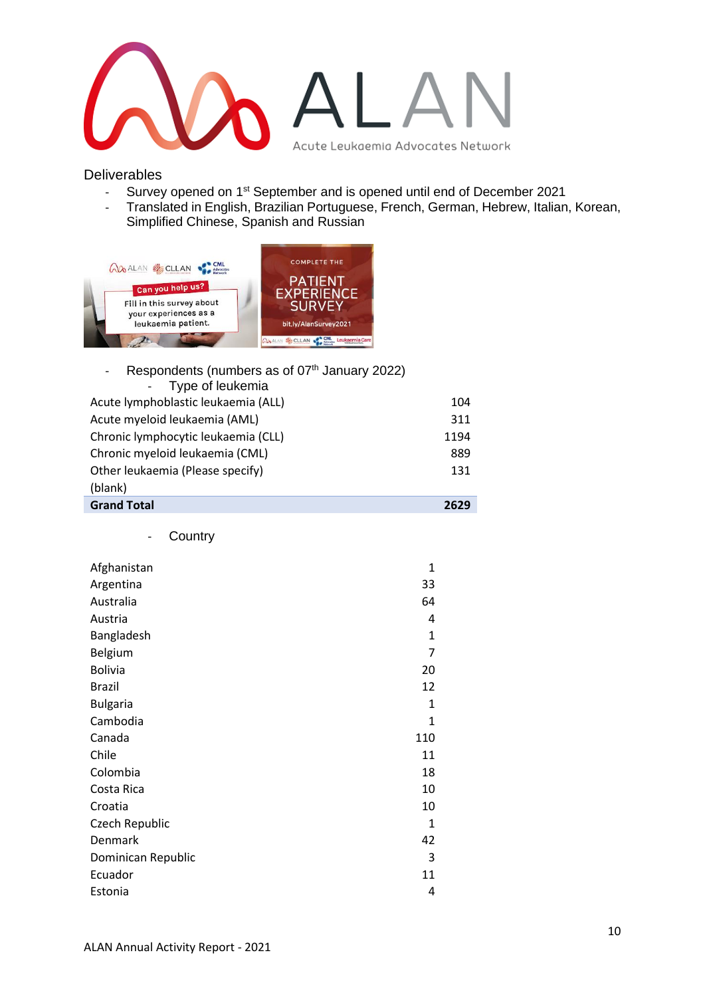

**Deliverables** 

- Survey opened on 1st September and is opened until end of December 2021
- Translated in English, Brazilian Portuguese, French, German, Hebrew, Italian, Korean, Simplified Chinese, Spanish and Russian



| Respondents (numbers as of 07 <sup>th</sup> January 2022) |      |
|-----------------------------------------------------------|------|
| Type of leukemia                                          |      |
| Acute lymphoblastic leukaemia (ALL)                       | 104  |
| Acute myeloid leukaemia (AML)                             | 311  |
| Chronic lymphocytic leukaemia (CLL)                       | 1194 |
| Chronic myeloid leukaemia (CML)                           | 889  |
| Other leukaemia (Please specify)                          | 131  |
| (blank)                                                   |      |
| <b>Grand Total</b>                                        | 2629 |

- Country

| Afghanistan        | 1            |
|--------------------|--------------|
| Argentina          | 33           |
| Australia          | 64           |
| Austria            | 4            |
| Bangladesh         | $\mathbf{1}$ |
| <b>Belgium</b>     | 7            |
| <b>Bolivia</b>     | 20           |
| <b>Brazil</b>      | 12           |
| <b>Bulgaria</b>    | $\mathbf{1}$ |
| Cambodia           | $\mathbf{1}$ |
| Canada             | 110          |
| Chile              | 11           |
| Colombia           | 18           |
| Costa Rica         | 10           |
| Croatia            | 10           |
| Czech Republic     | $\mathbf{1}$ |
| Denmark            | 42           |
| Dominican Republic | 3            |
| Ecuador            | 11           |
| Estonia            | 4            |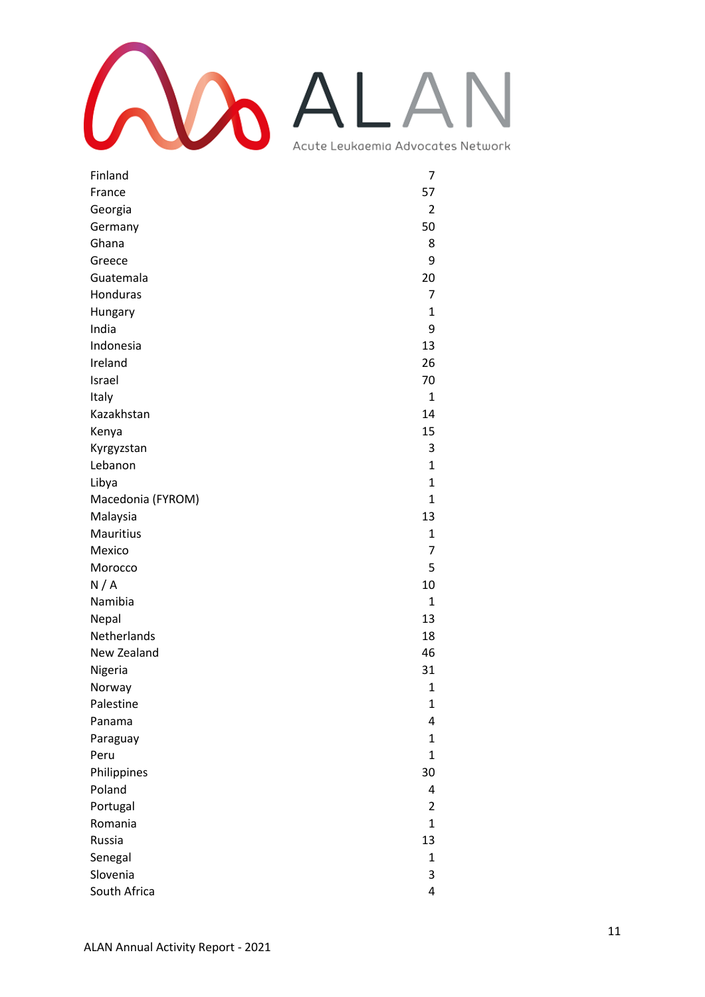

| Finland           | 7              |
|-------------------|----------------|
| France            | 57             |
| Georgia           | $\overline{2}$ |
| Germany           | 50             |
| Ghana             | 8              |
| Greece            | 9              |
| Guatemala         | 20             |
| Honduras          | 7              |
| Hungary           | 1              |
| India             | 9              |
| Indonesia         | 13             |
| Ireland           | 26             |
| Israel            | 70             |
| Italy             | 1              |
| Kazakhstan        | 14             |
| Kenya             | 15             |
| Kyrgyzstan        | 3              |
| Lebanon           | $\mathbf{1}$   |
| Libya             | $\mathbf{1}$   |
| Macedonia (FYROM) | $\mathbf{1}$   |
| Malaysia          | 13             |
| Mauritius         | 1              |
| Mexico            | 7              |
| Morocco           | 5              |
| N/A               | 10             |
| Namibia           | $\mathbf{1}$   |
| Nepal             | 13             |
| Netherlands       | 18             |
| New Zealand       | 46             |
| Nigeria           | 31             |
| Norway            | 1              |
| Palestine         | 1              |
| Panama            | 4              |
| Paraguay          | $\mathbf{1}$   |
| Peru              | $\mathbf{1}$   |
| Philippines       | 30             |
| Poland            | 4              |
| Portugal          | $\overline{2}$ |
| Romania           | 1              |
| Russia            | 13             |
| Senegal           | 1              |
| Slovenia          | 3              |
| South Africa      | 4              |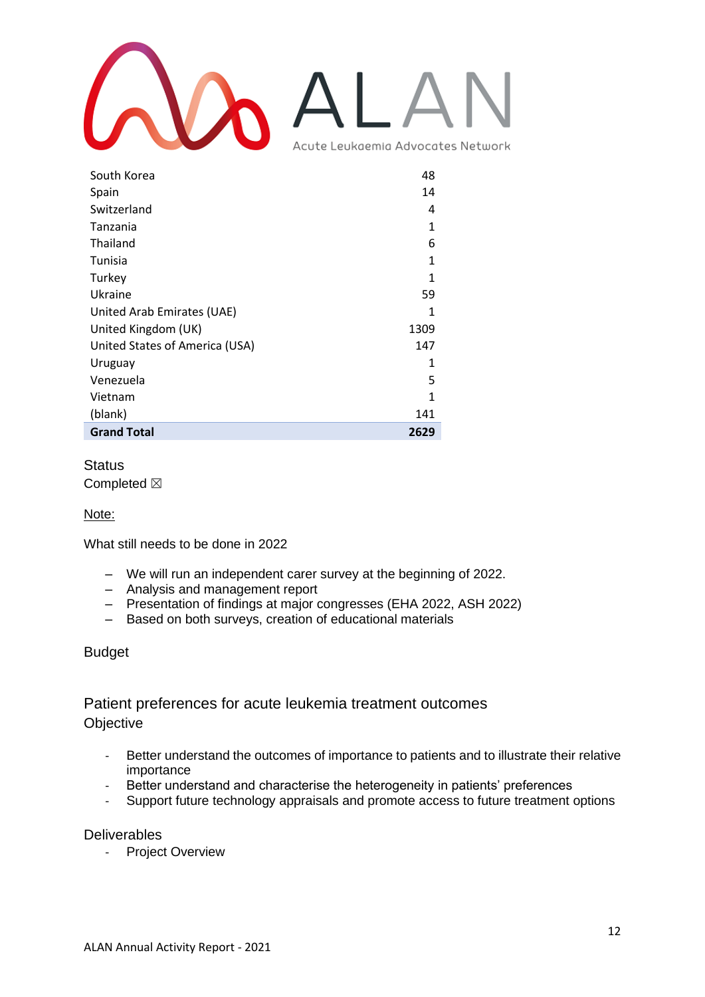

| South Korea                    | 48   |
|--------------------------------|------|
| Spain                          | 14   |
| Switzerland                    | 4    |
| Tanzania                       | 1    |
| Thailand                       | 6    |
| Tunisia                        | 1    |
| Turkey                         | 1    |
| Ukraine                        | 59   |
| United Arab Emirates (UAE)     | 1    |
| United Kingdom (UK)            | 1309 |
| United States of America (USA) | 147  |
| Uruguay                        | 1    |
| Venezuela                      | 5    |
| Vietnam                        | 1    |
| (blank)                        | 141  |
| <b>Grand Total</b>             | 2629 |

# **Status**

Completed  $\boxtimes$ 

## Note:

What still needs to be done in 2022

- We will run an independent carer survey at the beginning of 2022.
- Analysis and management report
- Presentation of findings at major congresses (EHA 2022, ASH 2022)
- Based on both surveys, creation of educational materials

## Budget

# <span id="page-11-0"></span>Patient preferences for acute leukemia treatment outcomes **Objective**

- Better understand the outcomes of importance to patients and to illustrate their relative importance
- Better understand and characterise the heterogeneity in patients' preferences
- Support future technology appraisals and promote access to future treatment options

**Deliverables** 

- Project Overview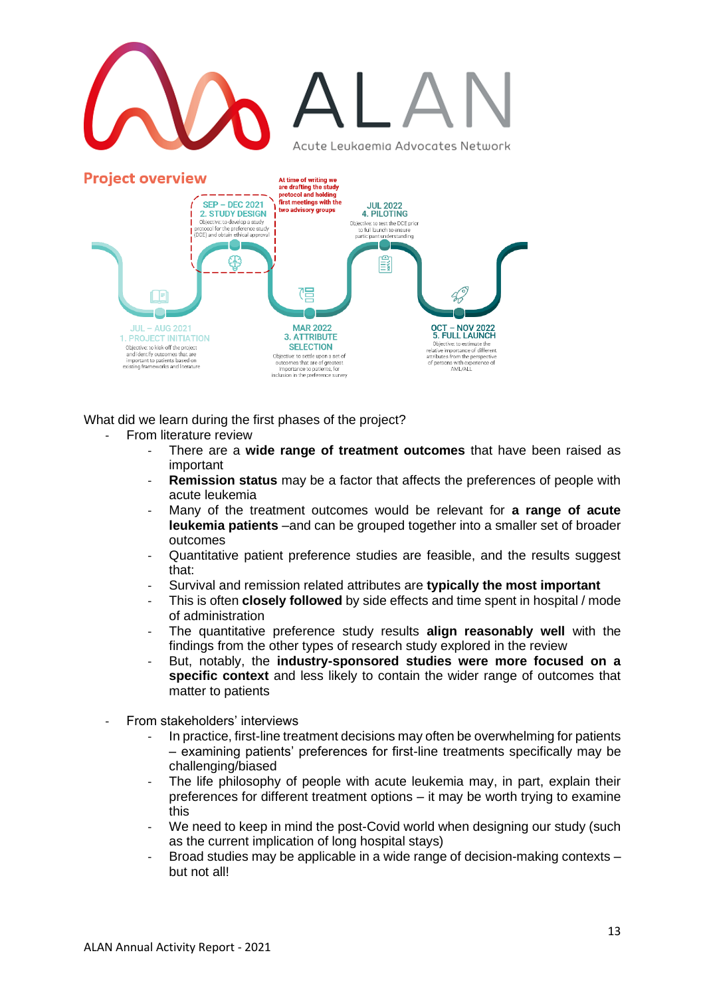

What did we learn during the first phases of the project?

- From literature review
	- There are a **wide range of treatment outcomes** that have been raised as important
	- **Remission status** may be a factor that affects the preferences of people with acute leukemia
	- Many of the treatment outcomes would be relevant for **a range of acute leukemia patients** –and can be grouped together into a smaller set of broader outcomes
	- Quantitative patient preference studies are feasible, and the results suggest that:
	- Survival and remission related attributes are **typically the most important**
	- This is often **closely followed** by side effects and time spent in hospital / mode of administration
	- The quantitative preference study results **align reasonably well** with the findings from the other types of research study explored in the review
	- But, notably, the **industry-sponsored studies were more focused on a specific context** and less likely to contain the wider range of outcomes that matter to patients
- From stakeholders' interviews
	- In practice, first-line treatment decisions may often be overwhelming for patients – examining patients' preferences for first-line treatments specifically may be challenging/biased
	- The life philosophy of people with acute leukemia may, in part, explain their preferences for different treatment options – it may be worth trying to examine this
	- We need to keep in mind the post-Covid world when designing our study (such as the current implication of long hospital stays)
	- Broad studies may be applicable in a wide range of decision-making contexts but not all!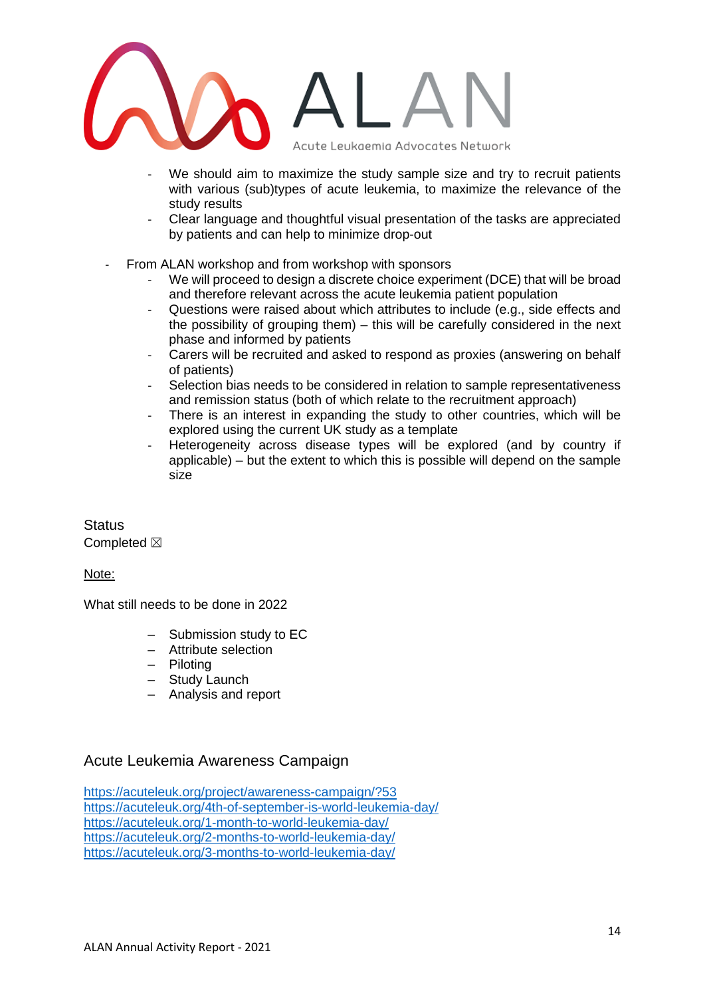

- We should aim to maximize the study sample size and try to recruit patients with various (sub)types of acute leukemia, to maximize the relevance of the study results
- Clear language and thoughtful visual presentation of the tasks are appreciated by patients and can help to minimize drop-out
- From ALAN workshop and from workshop with sponsors
	- We will proceed to design a discrete choice experiment (DCE) that will be broad and therefore relevant across the acute leukemia patient population
	- Questions were raised about which attributes to include (e.g., side effects and the possibility of grouping them) – this will be carefully considered in the next phase and informed by patients
	- Carers will be recruited and asked to respond as proxies (answering on behalf of patients)
	- Selection bias needs to be considered in relation to sample representativeness and remission status (both of which relate to the recruitment approach)
	- There is an interest in expanding the study to other countries, which will be explored using the current UK study as a template
	- Heterogeneity across disease types will be explored (and by country if applicable) – but the extent to which this is possible will depend on the sample size

**Status** Completed  $\boxtimes$ 

Note:

What still needs to be done in 2022

- Submission study to EC
- Attribute selection
- Piloting
- Study Launch
- Analysis and report

# <span id="page-13-0"></span>Acute Leukemia Awareness Campaign

<https://acuteleuk.org/project/awareness-campaign/?53> <https://acuteleuk.org/4th-of-september-is-world-leukemia-day/> <https://acuteleuk.org/1-month-to-world-leukemia-day/> <https://acuteleuk.org/2-months-to-world-leukemia-day/> <https://acuteleuk.org/3-months-to-world-leukemia-day/>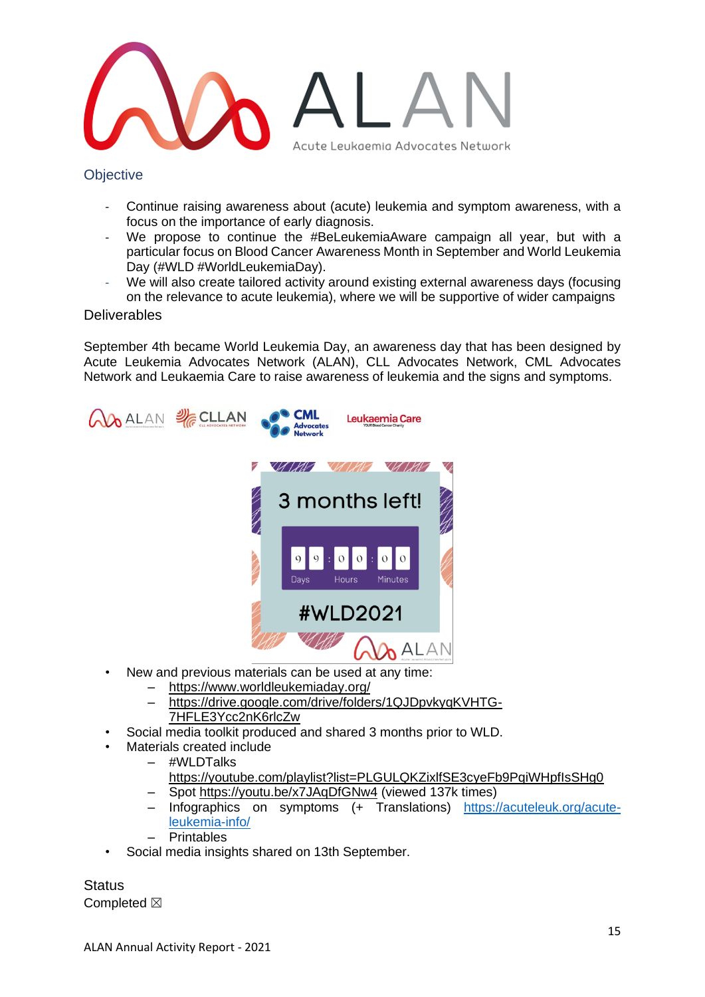

**Objective** 

- Continue raising awareness about (acute) leukemia and symptom awareness, with a focus on the importance of early diagnosis.
- We propose to continue the #BeLeukemiaAware campaign all year, but with a particular focus on Blood Cancer Awareness Month in September and World Leukemia Day (#WLD #WorldLeukemiaDay).
- We will also create tailored activity around existing external awareness days (focusing on the relevance to acute leukemia), where we will be supportive of wider campaigns

## **Deliverables**

September 4th became World Leukemia Day, an awareness day that has been designed by Acute Leukemia Advocates Network (ALAN), CLL Advocates Network, CML Advocates Network and Leukaemia Care to raise awareness of leukemia and the signs and symptoms.



- New and previous materials can be used at any time:
	- <https://www.worldleukemiaday.org/>
		- [https://drive.google.com/drive/folders/1QJDpvkyqKVHTG-](https://www.worldleukemiaday.org/)[7HFLE3Ycc2nK6rlcZw](https://www.worldleukemiaday.org/)
- Social media toolkit produced and shared 3 months prior to WLD.
- Materials created include
- #WLDTalks
	- https://voutube.com/playlist?list=PLGULQKZixlfSE3cyeFb9PqiWHpfIsSHq0
	- Spot<https://youtu.be/x7JAqDfGNw4> (viewed 137k times)
	- Infographics on symptoms (+ Translations) [https://acuteleuk.org/acute](https://acuteleuk.org/acute-leukemia-info/)[leukemia-info/](https://acuteleuk.org/acute-leukemia-info/)
	- **Printables**
- Social media insights shared on 13th September.

**Status** Completed  $\boxtimes$